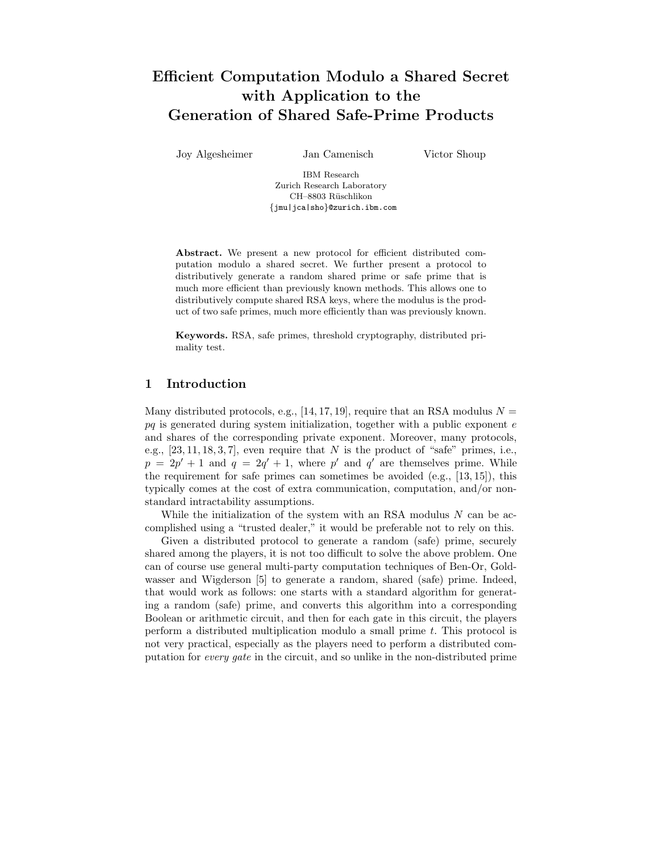# Efficient Computation Modulo a Shared Secret with Application to the Generation of Shared Safe-Prime Products

Joy Algesheimer Jan Camenisch Victor Shoup

IBM Research Zurich Research Laboratory CH-8803 Rüschlikon {jmu|jca|sho}@zurich.ibm.com

Abstract. We present a new protocol for efficient distributed computation modulo a shared secret. We further present a protocol to distributively generate a random shared prime or safe prime that is much more efficient than previously known methods. This allows one to distributively compute shared RSA keys, where the modulus is the product of two safe primes, much more efficiently than was previously known.

Keywords. RSA, safe primes, threshold cryptography, distributed primality test.

## 1 Introduction

Many distributed protocols, e.g., [14, 17, 19], require that an RSA modulus  $N =$  $pq$  is generated during system initialization, together with a public exponent  $e$ and shares of the corresponding private exponent. Moreover, many protocols, e.g.,  $[23, 11, 18, 3, 7]$ , even require that N is the product of "safe" primes, i.e.,  $p = 2p' + 1$  and  $q = 2q' + 1$ , where p' and q' are themselves prime. While the requirement for safe primes can sometimes be avoided (e.g.,  $[13, 15]$ ), this typically comes at the cost of extra communication, computation, and/or nonstandard intractability assumptions.

While the initialization of the system with an RSA modulus  $N$  can be accomplished using a "trusted dealer," it would be preferable not to rely on this.

Given a distributed protocol to generate a random (safe) prime, securely shared among the players, it is not too difficult to solve the above problem. One can of course use general multi-party computation techniques of Ben-Or, Goldwasser and Wigderson [5] to generate a random, shared (safe) prime. Indeed, that would work as follows: one starts with a standard algorithm for generating a random (safe) prime, and converts this algorithm into a corresponding Boolean or arithmetic circuit, and then for each gate in this circuit, the players perform a distributed multiplication modulo a small prime t. This protocol is not very practical, especially as the players need to perform a distributed computation for every gate in the circuit, and so unlike in the non-distributed prime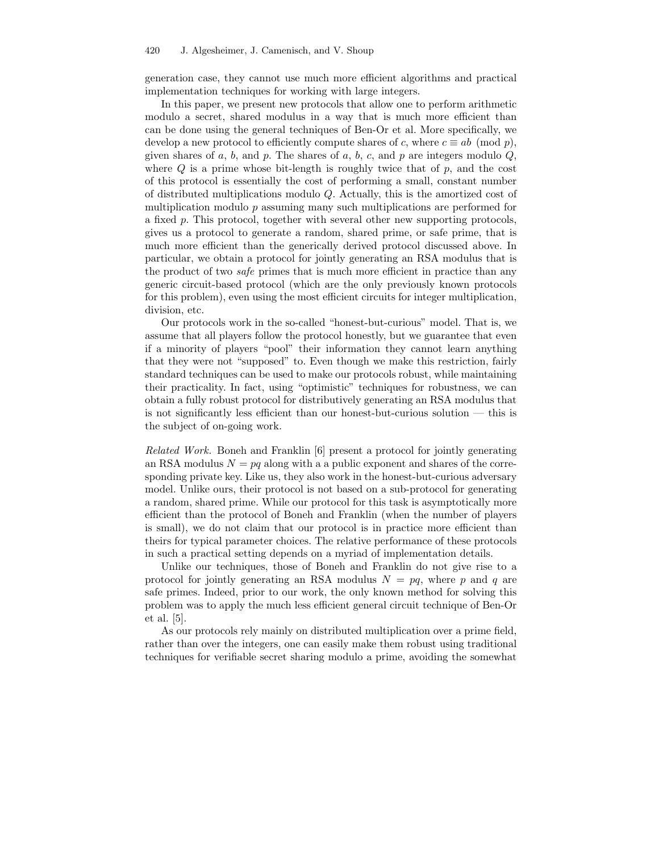generation case, they cannot use much more efficient algorithms and practical implementation techniques for working with large integers.

In this paper, we present new protocols that allow one to perform arithmetic modulo a secret, shared modulus in a way that is much more efficient than can be done using the general techniques of Ben-Or et al. More specifically, we develop a new protocol to efficiently compute shares of c, where  $c \equiv ab \pmod{p}$ , given shares of a, b, and p. The shares of a, b, c, and p are integers modulo  $Q$ , where  $Q$  is a prime whose bit-length is roughly twice that of  $p$ , and the cost of this protocol is essentially the cost of performing a small, constant number of distributed multiplications modulo Q. Actually, this is the amortized cost of multiplication modulo  $p$  assuming many such multiplications are performed for a fixed p. This protocol, together with several other new supporting protocols, gives us a protocol to generate a random, shared prime, or safe prime, that is much more efficient than the generically derived protocol discussed above. In particular, we obtain a protocol for jointly generating an RSA modulus that is the product of two safe primes that is much more efficient in practice than any generic circuit-based protocol (which are the only previously known protocols for this problem), even using the most efficient circuits for integer multiplication, division, etc.

Our protocols work in the so-called "honest-but-curious" model. That is, we assume that all players follow the protocol honestly, but we guarantee that even if a minority of players "pool" their information they cannot learn anything that they were not "supposed" to. Even though we make this restriction, fairly standard techniques can be used to make our protocols robust, while maintaining their practicality. In fact, using "optimistic" techniques for robustness, we can obtain a fully robust protocol for distributively generating an RSA modulus that is not significantly less efficient than our honest-but-curious solution — this is the subject of on-going work.

Related Work. Boneh and Franklin [6] present a protocol for jointly generating an RSA modulus  $N = pq$  along with a a public exponent and shares of the corresponding private key. Like us, they also work in the honest-but-curious adversary model. Unlike ours, their protocol is not based on a sub-protocol for generating a random, shared prime. While our protocol for this task is asymptotically more efficient than the protocol of Boneh and Franklin (when the number of players is small), we do not claim that our protocol is in practice more efficient than theirs for typical parameter choices. The relative performance of these protocols in such a practical setting depends on a myriad of implementation details.

Unlike our techniques, those of Boneh and Franklin do not give rise to a protocol for jointly generating an RSA modulus  $N = pq$ , where p and q are safe primes. Indeed, prior to our work, the only known method for solving this problem was to apply the much less efficient general circuit technique of Ben-Or et al. [5].

As our protocols rely mainly on distributed multiplication over a prime field, rather than over the integers, one can easily make them robust using traditional techniques for verifiable secret sharing modulo a prime, avoiding the somewhat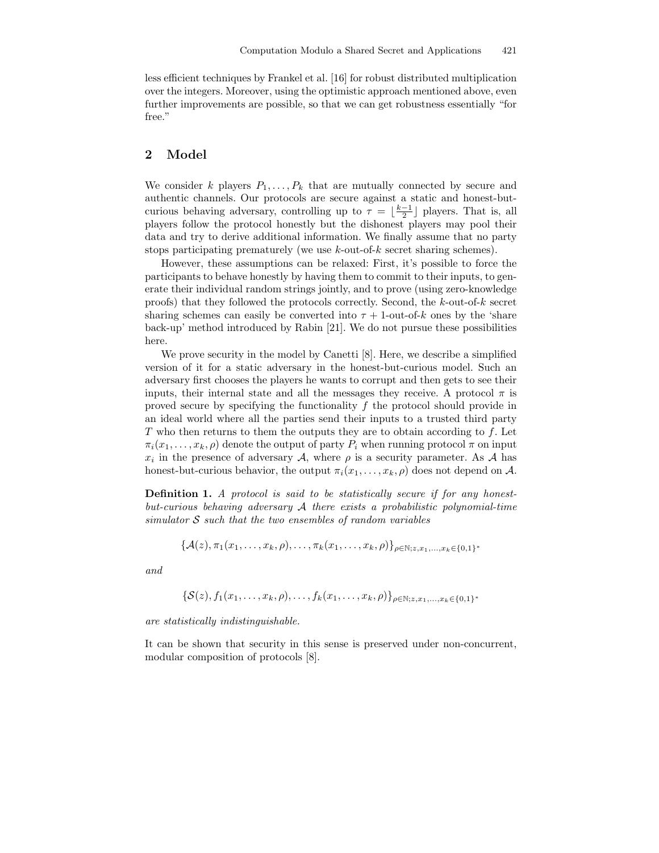less efficient techniques by Frankel et al. [16] for robust distributed multiplication over the integers. Moreover, using the optimistic approach mentioned above, even further improvements are possible, so that we can get robustness essentially "for free."

### 2 Model

We consider k players  $P_1, \ldots, P_k$  that are mutually connected by secure and authentic channels. Our protocols are secure against a static and honest-butcurious behaving adversary, controlling up to  $\tau = \lfloor \frac{k-1}{2} \rfloor$  players. That is, all players follow the protocol honestly but the dishonest players may pool their data and try to derive additional information. We finally assume that no party stops participating prematurely (we use  $k$ -out-of- $k$  secret sharing schemes).

However, these assumptions can be relaxed: First, it's possible to force the participants to behave honestly by having them to commit to their inputs, to generate their individual random strings jointly, and to prove (using zero-knowledge proofs) that they followed the protocols correctly. Second, the k-out-of-k secret sharing schemes can easily be converted into  $\tau + 1$ -out-of-k ones by the 'share' back-up' method introduced by Rabin [21]. We do not pursue these possibilities here.

We prove security in the model by Canetti [8]. Here, we describe a simplified version of it for a static adversary in the honest-but-curious model. Such an adversary first chooses the players he wants to corrupt and then gets to see their inputs, their internal state and all the messages they receive. A protocol  $\pi$  is proved secure by specifying the functionality f the protocol should provide in an ideal world where all the parties send their inputs to a trusted third party  $T$  who then returns to them the outputs they are to obtain according to  $f$ . Let  $\pi_i(x_1,\ldots,x_k,\rho)$  denote the output of party  $P_i$  when running protocol  $\pi$  on input  $x_i$  in the presence of adversary A, where  $\rho$  is a security parameter. As A has honest-but-curious behavior, the output  $\pi_i(x_1, \ldots, x_k, \rho)$  does not depend on A.

Definition 1. A protocol is said to be statistically secure if for any honestbut-curious behaving adversary A there exists a probabilistic polynomial-time simulator  $S$  such that the two ensembles of random variables

$$
\{\mathcal{A}(z), \pi_1(x_1,\ldots,x_k,\rho), \ldots, \pi_k(x_1,\ldots,x_k,\rho)\}_{\rho \in \mathbb{N}; z, x_1,\ldots,x_k \in \{0,1\}^*}
$$

and

$$
\{\mathcal{S}(z), f_1(x_1,\ldots,x_k,\rho),\ldots,f_k(x_1,\ldots,x_k,\rho)\}_{\rho\in\mathbb{N};z,x_1,\ldots,x_k\in\{0,1\}^*}
$$

are statistically indistinguishable.

It can be shown that security in this sense is preserved under non-concurrent, modular composition of protocols [8].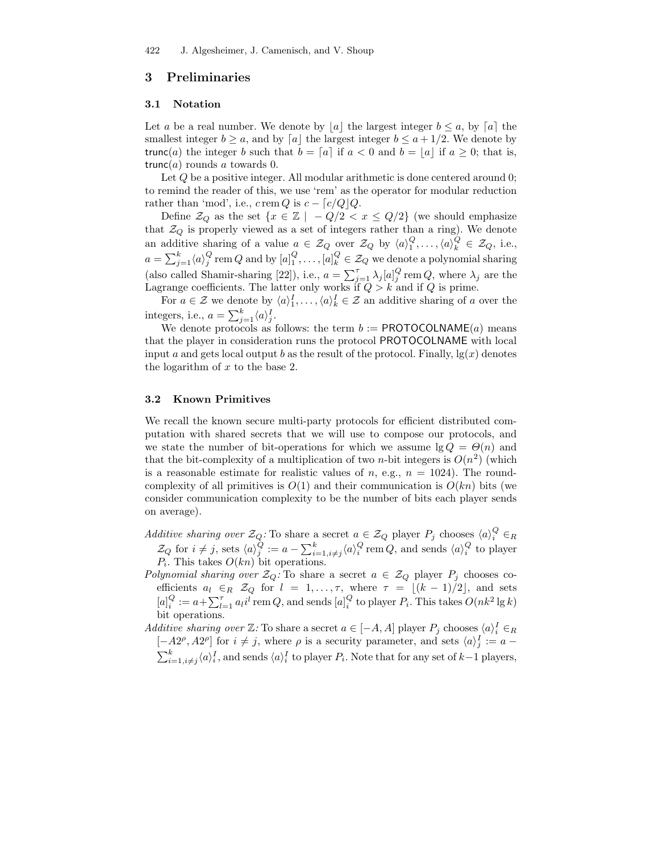## 3 Preliminaries

#### 3.1 Notation

Let a be a real number. We denote by  $|a|$  the largest integer  $b \leq a$ , by  $[a]$  the smallest integer  $b \ge a$ , and by [a] the largest integer  $b \le a + 1/2$ . We denote by trunc(a) the integer b such that  $b = [a]$  if  $a < 0$  and  $b = |a|$  if  $a \ge 0$ ; that is, trunc $(a)$  rounds a towards 0.

Let Q be a positive integer. All modular arithmetic is done centered around 0; to remind the reader of this, we use 'rem' as the operator for modular reduction rather than 'mod', i.e.,  $c$  rem Q is  $c - \lceil c/Q \rceil Q$ .

Define  $\mathcal{Z}_Q$  as the set  $\{x \in \mathbb{Z} \mid -Q/2 < x \le Q/2\}$  (we should emphasize that  $\mathcal{Z}_Q$  is properly viewed as a set of integers rather than a ring). We denote an additive sharing of a value  $a \in \mathcal{Z}_Q$  over  $\mathcal{Z}_Q$  by  $\langle a \rangle_1^Q, \ldots, \langle a \rangle_k^Q \in \mathcal{Z}_Q$ , i.e.,  $a = \sum_{j=1}^k \langle a \rangle_j^Q \text{ rem }Q \text{ and by } [a]_1^Q, \ldots, [a]_k^Q \in \mathcal{Z}_Q$  we denote a polynomial sharing (also called Shamir-sharing [22]), i.e.,  $a = \sum_{j=1}^{7} \lambda_j [a]_j^Q$  rem Q, where  $\lambda_j$  are the Lagrange coefficients. The latter only works if  $Q > k$  and if Q is prime.

For  $a \in \mathcal{Z}$  we denote by  $\langle a \rangle_1^I, \ldots, \langle a \rangle_k^I \in \mathcal{Z}$  an additive sharing of a over the integers, i.e.,  $a = \sum_{j=1}^{k} \langle a \rangle_j^I$ .

We denote protocols as follows: the term  $b := \textsf{PROTOCOLNAME}(a)$  means that the player in consideration runs the protocol PROTOCOLNAME with local input a and gets local output b as the result of the protocol. Finally,  $\lg(x)$  denotes the logarithm of  $x$  to the base 2.

#### 3.2 Known Primitives

We recall the known secure multi-party protocols for efficient distributed computation with shared secrets that we will use to compose our protocols, and we state the number of bit-operations for which we assume  $\lg Q = \Theta(n)$  and that the bit-complexity of a multiplication of two *n*-bit integers is  $O(n^2)$  (which is a reasonable estimate for realistic values of  $n$ , e.g.,  $n = 1024$ ). The roundcomplexity of all primitives is  $O(1)$  and their communication is  $O(kn)$  bits (we consider communication complexity to be the number of bits each player sends on average).

- Additive sharing over  $\mathcal{Z}_Q$ : To share a secret  $a \in \mathcal{Z}_Q$  player  $P_j$  chooses  $\langle a \rangle_i^Q \in_R$  $\mathcal{Z}_Q$  for  $i \neq j$ , sets  $\langle a \rangle_j^Q := a - \sum_{i=1, i \neq j}^k \langle a \rangle_i^Q$  rem  $Q$ , and sends  $\langle a \rangle_i^Q$  to player  $P_i$ . This takes  $O(kn)$  bit operations.
- Polynomial sharing over  $\mathcal{Z}_Q$ : To share a secret  $a \in \mathcal{Z}_Q$  player  $P_j$  chooses coefficients  $a_l \in_R \mathcal{Z}_Q$  for  $l = 1, \ldots, \tau$ , where  $\tau = \lfloor (k-1)/2 \rfloor$ , and sets  $[a]_i^Q := a + \sum_{l=1}^{\tau} a_l i^l \text{ rem } Q$ , and sends  $[a]_i^Q$  to player  $P_i$ . This takes  $O(nk^2 \lg k)$ bit operations.
- Additive sharing over  $\mathbb{Z}$ : To share a secret  $a \in [-A, A]$  player  $P_j$  chooses  $\langle a \rangle_i^I \in_R$  $[-A2^{\rho}, A2^{\rho}]$  for  $i \neq j$ , where  $\rho$  is a security parameter, and sets  $\langle a \rangle_j^I := a \sum_{i=1, i\neq j}^k \langle a\rangle_i^I$ , and sends  $\langle a\rangle_i^I$  to player  $P_i$ . Note that for any set of  $k-1$  players,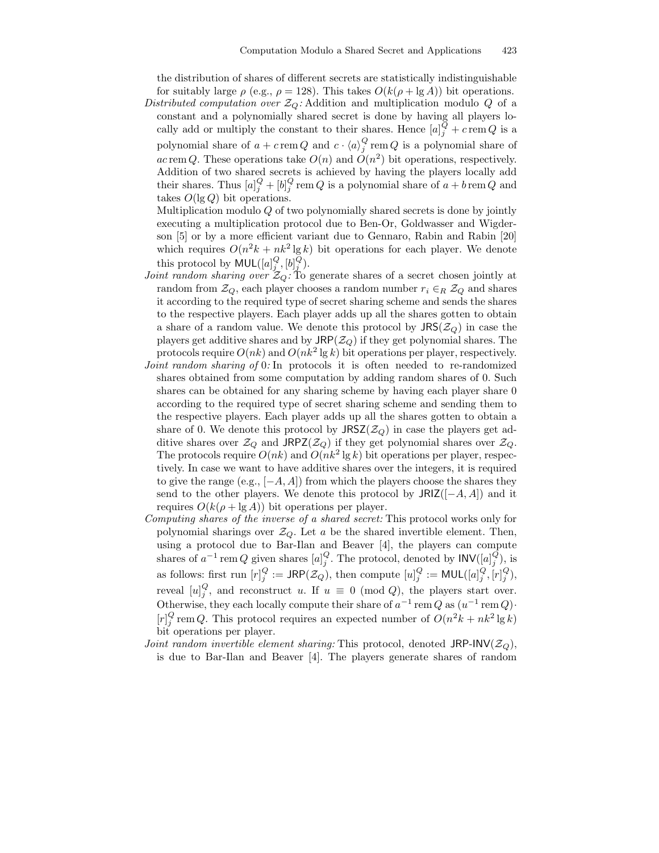the distribution of shares of different secrets are statistically indistinguishable for suitably large  $\rho$  (e.g.,  $\rho = 128$ ). This takes  $O(k(\rho + \lg A))$  bit operations.

Distributed computation over  $\mathcal{Z}_{Q}$ : Addition and multiplication modulo Q of a constant and a polynomially shared secret is done by having all players locally add or multiply the constant to their shares. Hence  $[a]_j^Q + c$  rem Q is a polynomial share of  $a + c \text{ rem } Q$  and  $c \cdot \langle a \rangle_j^Q$  rem  $Q$  is a polynomial share of ac rem Q. These operations take  $O(n)$  and  $O(n^2)$  bit operations, respectively. Addition of two shared secrets is achieved by having the players locally add their shares. Thus  $[a]_j^Q + [b]_j^Q$  rem Q is a polynomial share of  $a + b$  rem Q and takes  $O(\lg Q)$  bit operations.

Multiplication modulo Q of two polynomially shared secrets is done by jointly executing a multiplication protocol due to Ben-Or, Goldwasser and Wigderson [5] or by a more efficient variant due to Gennaro, Rabin and Rabin [20] which requires  $O(n^2k + nk^2 \lg k)$  bit operations for each player. We denote this protocol by  $\textsf{MUL}([a]_j^Q,[b]_j^Q)$ .

- Joint random sharing over  $\mathcal{Z}_Q$ : To generate shares of a secret chosen jointly at random from  $\mathcal{Z}_Q$ , each player chooses a random number  $r_i \in_R \mathcal{Z}_Q$  and shares it according to the required type of secret sharing scheme and sends the shares to the respective players. Each player adds up all the shares gotten to obtain a share of a random value. We denote this protocol by  $JRS(\mathcal{Z}_{Q})$  in case the players get additive shares and by  $\text{JRP}(\mathcal{Z}_Q)$  if they get polynomial shares. The protocols require  $O(nk)$  and  $O(nk^2 \lg k)$  bit operations per player, respectively.
- Joint random sharing of 0: In protocols it is often needed to re-randomized shares obtained from some computation by adding random shares of 0. Such shares can be obtained for any sharing scheme by having each player share 0 according to the required type of secret sharing scheme and sending them to the respective players. Each player adds up all the shares gotten to obtain a share of 0. We denote this protocol by  $JRSZ(\mathcal{Z}_Q)$  in case the players get additive shares over  $\mathcal{Z}_Q$  and JRPZ( $\mathcal{Z}_Q$ ) if they get polynomial shares over  $\mathcal{Z}_Q$ . The protocols require  $O(nk)$  and  $O(nk^2 \lg k)$  bit operations per player, respectively. In case we want to have additive shares over the integers, it is required to give the range (e.g.,  $[-A, A]$ ) from which the players choose the shares they send to the other players. We denote this protocol by  $JRIZ([-A, A])$  and it requires  $O(k(\rho + \lg A))$  bit operations per player.
- Computing shares of the inverse of a shared secret: This protocol works only for polynomial sharings over  $\mathcal{Z}_Q$ . Let a be the shared invertible element. Then, using a protocol due to Bar-Ilan and Beaver [4], the players can compute shares of  $a^{-1}$  rem Q given shares  $[a]_j^Q$ . The protocol, denoted by  $\mathsf{INV}([a]_j^Q)$ , is as follows: first run  $[r]_j^Q := \text{JRP}(\mathcal{Z}_Q)$ , then compute  $[u]_j^Q := \text{MUL}([a]_j^Q, [r]_j^Q)$ , reveal  $[u]_j^Q$ , and reconstruct u. If  $u \equiv 0 \pmod{Q}$ , the players start over. Otherwise, they each locally compute their share of  $a^{-1}$  rem  $Q$  as  $(u^{-1}$  rem  $Q)$ .  $[r]_j^Q$  rem Q. This protocol requires an expected number of  $O(n^2k + nk^2 \lg k)$ bit operations per player.
- Joint random invertible element sharing: This protocol, denoted JRP-INV( $\mathcal{Z}_{\mathcal{O}}$ ), is due to Bar-Ilan and Beaver [4]. The players generate shares of random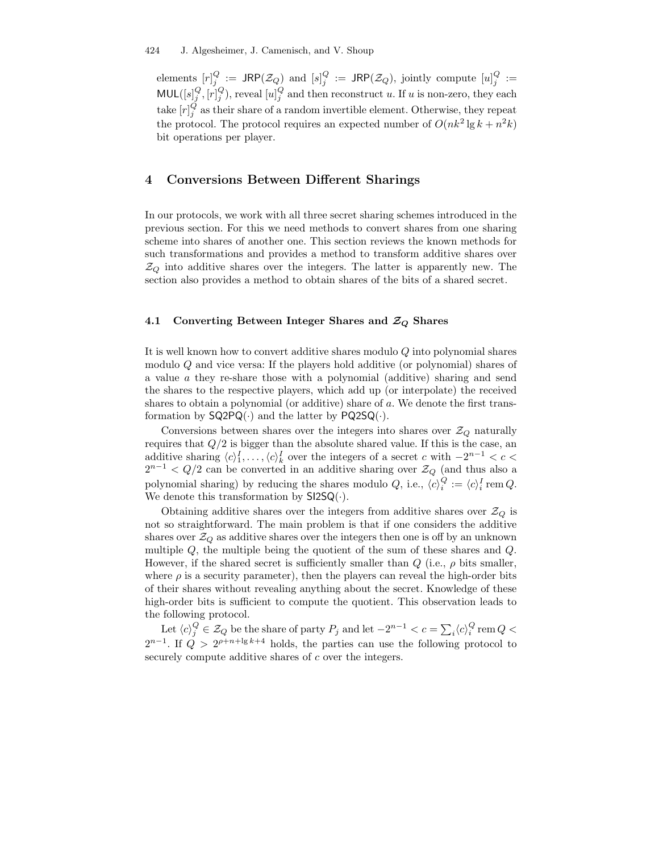elements  $[r]_j^Q := \text{JRP}(\mathcal{Z}_Q)$  and  $[s]_j^Q := \text{JRP}(\mathcal{Z}_Q)$ , jointly compute  $[u]_j^Q :=$  $\text{MUL}([s]_j^Q, [r]_j^Q)$ , reveal  $[u]_j^Q$  and then reconstruct u. If u is non-zero, they each take  $[r]_j^Q$  as their share of a random invertible element. Otherwise, they repeat the protocol. The protocol requires an expected number of  $O(nk^2 \lg k + n^2k)$ bit operations per player.

## 4 Conversions Between Different Sharings

In our protocols, we work with all three secret sharing schemes introduced in the previous section. For this we need methods to convert shares from one sharing scheme into shares of another one. This section reviews the known methods for such transformations and provides a method to transform additive shares over  $\mathcal{Z}_Q$  into additive shares over the integers. The latter is apparently new. The section also provides a method to obtain shares of the bits of a shared secret.

## 4.1 Converting Between Integer Shares and  $\mathcal{Z}_Q$  Shares

It is well known how to convert additive shares modulo Q into polynomial shares modulo Q and vice versa: If the players hold additive (or polynomial) shares of a value a they re-share those with a polynomial (additive) sharing and send the shares to the respective players, which add up (or interpolate) the received shares to obtain a polynomial (or additive) share of a. We denote the first transformation by  $SQ2PQ(\cdot)$  and the latter by  $PQ2SQ(\cdot)$ .

Conversions between shares over the integers into shares over  $\mathcal{Z}_Q$  naturally requires that  $Q/2$  is bigger than the absolute shared value. If this is the case, an additive sharing  $\langle c \rangle_1^I, \ldots, \langle c \rangle_k^I$  over the integers of a secret c with  $-2^{n-1} < c <$  $2^{n-1} < Q/2$  can be converted in an additive sharing over  $\mathcal{Z}_Q$  (and thus also a polynomial sharing) by reducing the shares modulo  $Q$ , i.e.,  $\langle c \rangle_i^Q := \langle c \rangle_i^I$  rem  $Q$ . We denote this transformation by  $SI2SQ(.)$ .

Obtaining additive shares over the integers from additive shares over  $\mathcal{Z}_Q$  is not so straightforward. The main problem is that if one considers the additive shares over  $\mathcal{Z}_Q$  as additive shares over the integers then one is off by an unknown multiple Q, the multiple being the quotient of the sum of these shares and Q. However, if the shared secret is sufficiently smaller than  $Q$  (i.e.,  $\rho$  bits smaller, where  $\rho$  is a security parameter), then the players can reveal the high-order bits of their shares without revealing anything about the secret. Knowledge of these high-order bits is sufficient to compute the quotient. This observation leads to the following protocol.

Let  $\langle c \rangle_j^Q \in \mathcal{Z}_Q$  be the share of party  $P_j$  and let  $-2^{n-1} < c = \sum_i \langle c \rangle_i^Q$  rem  $Q$  <  $2^{n-1}$ . If  $Q > 2^{\rho+n+\lg k+4}$  holds, the parties can use the following protocol to securely compute additive shares of c over the integers.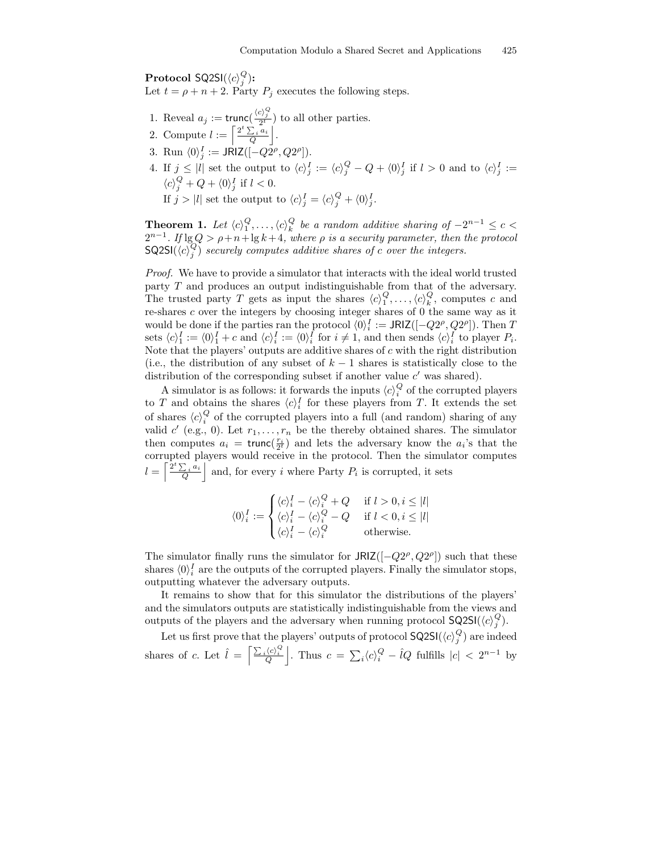$\mathbf{Protocol}$  SQ2SI $(\langle c \rangle_j^Q)$ :

Let  $t = \rho + n + 2$ . Party  $P_j$  executes the following steps.

- 1. Reveal  $a_j := \text{trunc}(\frac{\langle c \rangle_i^Q}{2^t})$  to all other parties.  $\left| \right|$ .
- 2. Compute  $l := \left[\frac{2^t \sum_i a_i}{O}\right]$ Q
- 3. Run  $\langle 0 \rangle_j^I := \text{JRIZ}([-Q2^\rho, Q2^\rho]).$
- 4. If  $j \leq |l|$  set the output to  $\langle c \rangle_j^I := \langle c \rangle_j^Q Q + \langle 0 \rangle_j^I$  if  $l > 0$  and to  $\langle c \rangle_j^I :=$  $\langle c \rangle_j^Q + Q + \langle 0 \rangle_j^I$  if  $l < 0$ . If  $j > |l|$  set the output to  $\langle c \rangle_j^I = \langle c \rangle_j^Q + \langle 0 \rangle_j^I$ .

**Theorem 1.** Let  $\langle c \rangle_1^Q, \ldots, \langle c \rangle_k^Q$  be a random additive sharing of  $-2^{n-1} \leq c <$  $2^{n-1}$ . If  $\lg Q > \rho + n + \lg k + 4$ , where  $\rho$  is a security parameter, then the protocol  $\mathsf{SQ2SI}(\langle c \rangle_j^Q)$  securely computes additive shares of c over the integers.

Proof. We have to provide a simulator that interacts with the ideal world trusted party T and produces an output indistinguishable from that of the adversary. The trusted party T gets as input the shares  $\langle c \rangle_1^Q, \ldots, \langle c \rangle_k^Q$ , computes c and re-shares c over the integers by choosing integer shares of 0 the same way as it would be done if the parties ran the protocol  $\langle 0 \rangle_i^I := \text{JRIZ}([-Q2^{\rho}, Q2^{\rho}])$ . Then T sets  $\langle c \rangle_1^I := \langle 0 \rangle_1^I + c$  and  $\langle c \rangle_i^I := \langle 0 \rangle_i^I$  for  $i \neq 1$ , and then sends  $\langle c \rangle_i^I$  to player  $P_i$ . Note that the players' outputs are additive shares of  $c$  with the right distribution (i.e., the distribution of any subset of  $k-1$  shares is statistically close to the distribution of the corresponding subset if another value  $c'$  was shared).

A simulator is as follows: it forwards the inputs  $\langle c \rangle_i^Q$  of the corrupted players to T and obtains the shares  $\langle c \rangle_i^I$  for these players from T. It extends the set of shares  $\langle c \rangle_i^Q$  of the corrupted players into a full (and random) sharing of any valid  $c'$  (e.g., 0). Let  $r_1, \ldots, r_n$  be the thereby obtained shares. The simulator then computes  $a_i = \text{trunc}(\frac{r_i}{2^t})$  and lets the adversary know the  $a_i$ 's that the corrupted players would receive in the protocol. Then the simulator computes  $l = \left[\frac{\frac{1}{2} \sum_{i} a_i}{O}\right]$ Q and, for every i where Party  $P_i$  is corrupted, it sets

$$
\langle 0 \rangle_i^I := \begin{cases} \langle c \rangle_i^I - \langle c \rangle_i^Q + Q & \text{if } l > 0, i \leq |l| \\ \langle c \rangle_i^I - \langle c \rangle_i^Q - Q & \text{if } l < 0, i \leq |l| \\ \langle c \rangle_i^I - \langle c \rangle_i^Q & \text{otherwise.} \end{cases}
$$

The simulator finally runs the simulator for  $JRIZ([-Q2^{\rho}, Q2^{\rho}])$  such that these shares  $\langle 0 \rangle_i^I$  are the outputs of the corrupted players. Finally the simulator stops, outputting whatever the adversary outputs.

It remains to show that for this simulator the distributions of the players' and the simulators outputs are statistically indistinguishable from the views and outputs of the players and the adversary when running protocol  $\mathsf{SQ2SI}(\langle c \rangle_j^Q)$ .

Let us first prove that the players' outputs of protocol  $\mathsf{SQ2SI}(\langle c \rangle_j^Q)$  are indeed shares of c. Let  $\hat{l} = \begin{bmatrix} \frac{\sum_i \langle c \rangle_i^Q}{Q} \end{bmatrix}$ . Thus  $c = \sum_i \langle c \rangle_i^Q - \hat{l}Q$  fulfills  $|c| < 2^{n-1}$  by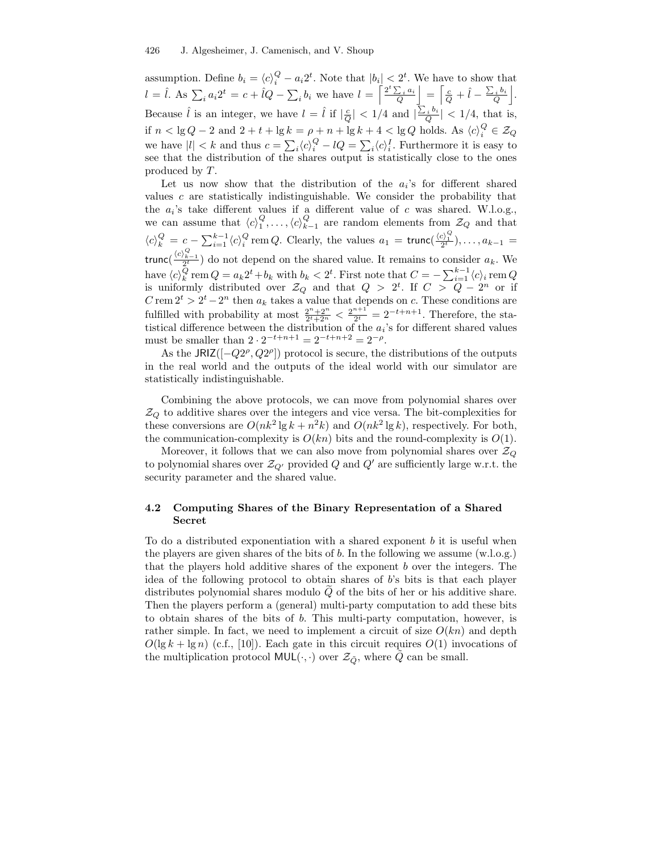assumption. Define  $b_i = \langle c \rangle_i^Q - a_i 2^t$ . Note that  $|b_i| < 2^t$ . We have to show that  $l = \hat{l}$ . As  $\sum_i a_i 2^t = c + \hat{l}Q - \sum_i b_i$  we have  $l = \begin{bmatrix} \frac{2^t \sum_i a_i}{Q} \end{bmatrix}$ Q  $\Big| = \Big[\frac{c}{Q} + \hat{l} - \frac{\sum_i b_i}{Q}\Big]$ Q  $\vert$ . Because  $\hat{l}$  is an integer, we have  $l = \hat{l}$  if  $|\frac{c}{Q}| < 1/4$  and  $|\frac{\sum_i b_i}{Q}|$  $\left|\frac{q}{Q}\right|$  < 1/4, that is, if  $n < \lg Q - 2$  and  $2 + t + \lg k = \rho + n + \lg k + 4 < \lg Q$  holds. As  $\langle c \rangle_i^Q \in \mathcal{Z}_Q$ we have  $|l| < k$  and thus  $c = \sum_i \langle c \rangle_i^Q - lQ = \sum_i \langle c \rangle_i^I$ . Furthermore it is easy to see that the distribution of the shares output is statistically close to the ones produced by T.

Let us now show that the distribution of the  $a_i$ 's for different shared values  $c$  are statistically indistinguishable. We consider the probability that the  $a_i$ 's take different values if a different value of c was shared. W.l.o.g., we can assume that  $\langle c \rangle_1^Q, \ldots, \langle c \rangle_{k-1}^Q$  are random elements from  $\mathcal{Z}_Q$  and that  $\langle c \rangle_k^Q = c - \sum_{i=1}^{k-1} \langle c \rangle_i^Q$  rem Q. Clearly, the values  $a_1 = \text{trunc}(\frac{\langle c \rangle_i^Q}{2^t}), \dots, a_{k-1}$ trunc $\left(\frac{\langle c \rangle_{k-1}^Q}{2^t}\right)$  do not depend on the shared value. It remains to consider  $a_k$ . We have  $\langle c \rangle_k^Q$  rem  $Q = a_k 2^t + b_k$  with  $b_k < 2^t$ . First note that  $C = -\sum_{i=1}^{k-1} \langle c \rangle_i$  rem Q is uniformly distributed over  $\mathcal{Z}_Q$  and that  $Q > 2^t$ . If  $C > Q - 2^n$  or if  $C \text{ rem } 2^t > 2^t - 2^n$  then  $a_k$  takes a value that depends on c. These conditions are fulfilled with probability at most  $\frac{2^n+2^n}{2^t+2^n} < \frac{2^{n+1}}{2^t}$  $\frac{n+1}{2^t} = 2^{-t+n+1}$ . Therefore, the statistical difference between the distribution of the  $a_i$ 's for different shared values must be smaller than  $2 \cdot 2^{-t+n+1} = 2^{-t+n+2} = 2^{-\rho}$ .

As the  $JRIZ([-Q2^{\rho}, Q2^{\rho}])$  protocol is secure, the distributions of the outputs in the real world and the outputs of the ideal world with our simulator are statistically indistinguishable.

Combining the above protocols, we can move from polynomial shares over  $\mathcal{Z}_Q$  to additive shares over the integers and vice versa. The bit-complexities for these conversions are  $O(nk^2 \lg k + n^2k)$  and  $O(nk^2 \lg k)$ , respectively. For both, the communication-complexity is  $O(kn)$  bits and the round-complexity is  $O(1)$ .

Moreover, it follows that we can also move from polynomial shares over  $\mathcal{Z}_Q$ to polynomial shares over  $\mathcal{Z}_{Q'}$  provided Q and Q' are sufficiently large w.r.t. the security parameter and the shared value.

### 4.2 Computing Shares of the Binary Representation of a Shared Secret

To do a distributed exponentiation with a shared exponent  $b$  it is useful when the players are given shares of the bits of b. In the following we assume  $(w.l.o.g.)$ that the players hold additive shares of the exponent b over the integers. The idea of the following protocol to obtain shares of b's bits is that each player distributes polynomial shares modulo  $\tilde{Q}$  of the bits of her or his additive share. Then the players perform a (general) multi-party computation to add these bits to obtain shares of the bits of b. This multi-party computation, however, is rather simple. In fact, we need to implement a circuit of size  $O(kn)$  and depth  $O(\lg k + \lg n)$  (c.f., [10]). Each gate in this circuit requires  $O(1)$  invocations of the multiplication protocol  $MUL(\cdot, \cdot)$  over  $\mathcal{Z}_{\tilde{O}}$ , where  $\tilde{Q}$  can be small.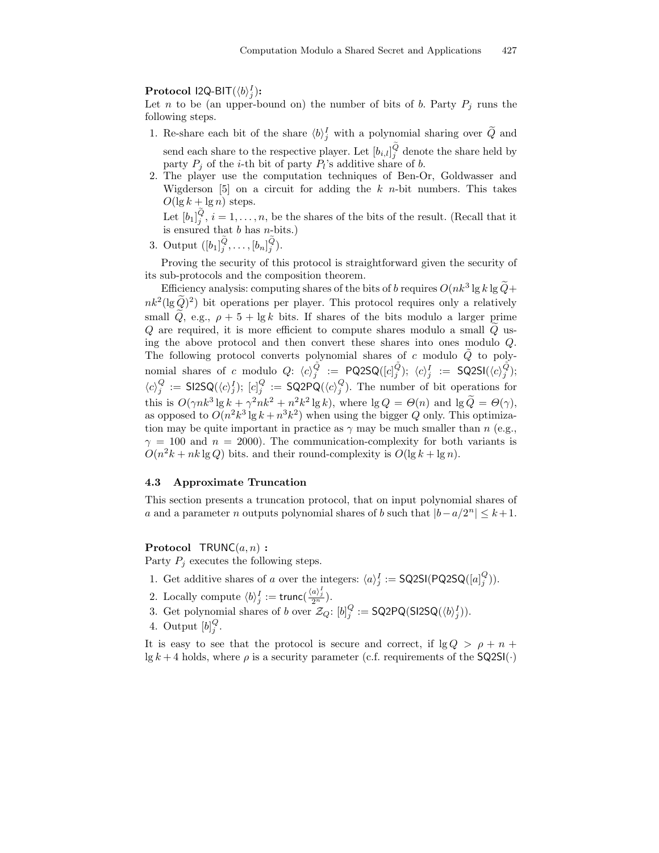## $\mathbf{Protocol}$  I2Q-BIT $(\langle b \rangle_j^I)$ :

Let *n* to be (an upper-bound on) the number of bits of *b*. Party  $P_j$  runs the following steps.

- 1. Re-share each bit of the share  $\langle b \rangle_j^I$  with a polynomial sharing over  $\tilde{Q}$  and send each share to the respective player. Let  $[b_{i,l}]_j^Q$  denote the share held by party  $P_j$  of the *i*-th bit of party  $P_l$ 's additive share of *b*.
- 2. The player use the computation techniques of Ben-Or, Goldwasser and Wigderson [5] on a circuit for adding the  $k$  *n*-bit numbers. This takes  $O(\lg k + \lg n)$  steps.

Let  $[b_1]_j^Q$ ,  $i = 1, \ldots, n$ , be the shares of the bits of the result. (Recall that it is ensured that  $b$  has  $n$ -bits.)

3. Output  $([b_1]_j^Q, \ldots, [b_n]_j^Q)$ .

Proving the security of this protocol is straightforward given the security of its sub-protocols and the composition theorem.

Efficiency analysis: computing shares of the bits of b requires  $O(nk^3 \lg k \lg \tilde{Q} +$  $nk^2(\lg Q)^2$  bit operations per player. This protocol requires only a relatively small  $\tilde{Q}$ , e.g.,  $\rho + 5 + \lg k$  bits. If shares of the bits modulo a larger prime  $Q$  are required, it is more efficient to compute shares modulo a small  $Q$  using the above protocol and then convert these shares into ones modulo Q. The following protocol converts polynomial shares of  $c$  modulo  $Q$  to polynomial shares of c modulo  $Q$ :  $\langle c \rangle_j^{\tilde{Q}}$  := PQ2SQ( $[c]_j^{\tilde{Q}}$ );  $\langle c \rangle_j^I$  := SQ2SI( $\langle c \rangle_j^{\tilde{Q}}$ );  $\langle c \rangle_j^Q := \mathsf{S} \mathsf{I} \mathsf{2} \mathsf{S} \mathsf{Q}(\langle c \rangle_j^I); [c]_j^Q := \mathsf{SQ2PQ}(\langle c \rangle_j^Q).$  The number of bit operations for this is  $O(\gamma nk^3 \lg k + \gamma^2 nk^2 + n^2 k^2 \lg k)$ , where  $\lg Q = \Theta(n)$  and  $\lg \tilde{Q} = \Theta(\gamma)$ , as opposed to  $O(n^2k^3 \lg k + n^3k^2)$  when using the bigger Q only. This optimization may be quite important in practice as  $\gamma$  may be much smaller than n (e.g.,  $\gamma = 100$  and  $n = 2000$ . The communication-complexity for both variants is  $O(n^2k + nk \lg Q)$  bits. and their round-complexity is  $O(\lg k + \lg n)$ .

#### 4.3 Approximate Truncation

This section presents a truncation protocol, that on input polynomial shares of a and a parameter n outputs polynomial shares of b such that  $|b-a/2^n| \leq k+1$ .

#### **Protocol**  $TRUNC(a, n)$ :

Party  $P_i$  executes the following steps.

- 1. Get additive shares of a over the integers:  $\langle a \rangle_j^I := \mathsf{SQ2SI}(\mathsf{PQ2SQ}([a]_j^Q)).$
- 2. Locally compute  $\langle b \rangle_j^I := \textsf{trunc}\left(\frac{\langle a \rangle_j^I}{2^n}\right)$ .
- 3. Get polynomial shares of b over  $\mathcal{Z}_Q$ :  $[b]_j^Q := \mathsf{SQ2PQ}(\mathsf{S12SQ}(\langle b \rangle_j^I)).$
- 4. Output  $[b]_j^Q$ .

It is easy to see that the protocol is secure and correct, if  $\lg Q > \rho + n +$  $\lg k + 4$  holds, where  $\rho$  is a security parameter (c.f. requirements of the SQ2SI(·)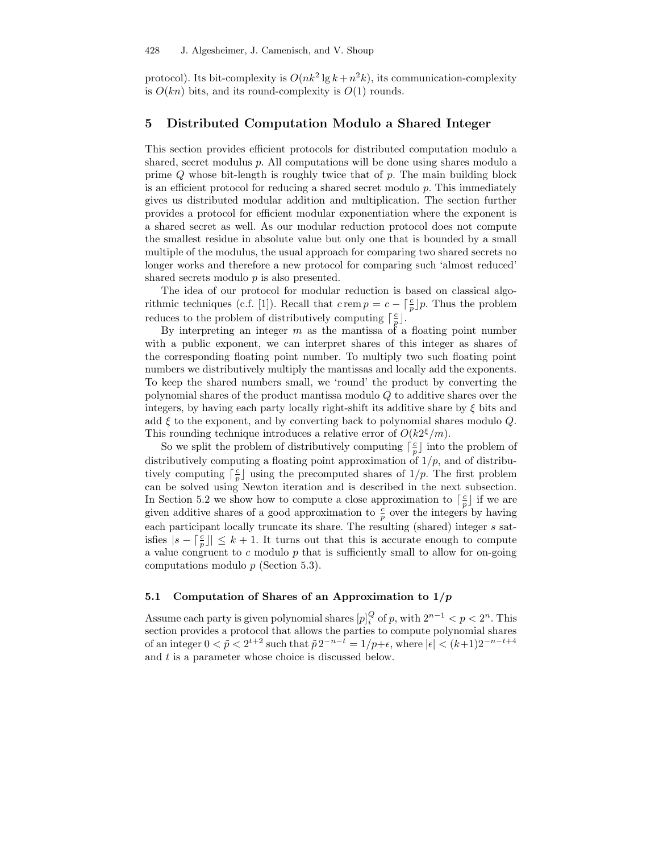protocol). Its bit-complexity is  $O(nk^2 \lg k + n^2k)$ , its communication-complexity is  $O(kn)$  bits, and its round-complexity is  $O(1)$  rounds.

## 5 Distributed Computation Modulo a Shared Integer

This section provides efficient protocols for distributed computation modulo a shared, secret modulus p. All computations will be done using shares modulo a prime  $Q$  whose bit-length is roughly twice that of  $p$ . The main building block is an efficient protocol for reducing a shared secret modulo p. This immediately gives us distributed modular addition and multiplication. The section further provides a protocol for efficient modular exponentiation where the exponent is a shared secret as well. As our modular reduction protocol does not compute the smallest residue in absolute value but only one that is bounded by a small multiple of the modulus, the usual approach for comparing two shared secrets no longer works and therefore a new protocol for comparing such 'almost reduced' shared secrets modulo  $p$  is also presented.

The idea of our protocol for modular reduction is based on classical algorithmic techniques (c.f. [1]). Recall that  $c \text{ rem } p = c - \lceil \frac{c}{p} \rceil p$ . Thus the problem reduces to the problem of distributively computing  $\lceil \frac{c}{p} \rfloor$ .

By interpreting an integer  $m$  as the mantissa of a floating point number with a public exponent, we can interpret shares of this integer as shares of the corresponding floating point number. To multiply two such floating point numbers we distributively multiply the mantissas and locally add the exponents. To keep the shared numbers small, we 'round' the product by converting the polynomial shares of the product mantissa modulo Q to additive shares over the integers, by having each party locally right-shift its additive share by  $\xi$  bits and add  $\xi$  to the exponent, and by converting back to polynomial shares modulo  $Q$ . This rounding technique introduces a relative error of  $O(k2^{\xi}/m)$ .

So we split the problem of distributively computing  $\lceil \frac{c}{p} \rceil$  into the problem of distributively computing a floating point approximation of  $1/p$ , and of distributively computing  $\lceil \frac{c}{p} \rceil$  using the precomputed shares of  $1/p$ . The first problem can be solved using Newton iteration and is described in the next subsection. In Section 5.2 we show how to compute a close approximation to  $\lceil \frac{c}{p} \rceil$  if we are given additive shares of a good approximation to  $\frac{c}{p}$  over the integers by having each participant locally truncate its share. The resulting (shared) integer s satisfies  $|s - \left\lceil \frac{c}{p} \right\rceil \leq k + 1$ . It turns out that this is accurate enough to compute a value congruent to  $c$  modulo  $p$  that is sufficiently small to allow for on-going computations modulo p (Section 5.3).

#### 5.1 Computation of Shares of an Approximation to  $1/p$

Assume each party is given polynomial shares  $[p]_i^Q$  of p, with  $2^{n-1} < p < 2^n$ . This section provides a protocol that allows the parties to compute polynomial shares of an integer  $0 < \tilde{p} < 2^{t+2}$  such that  $\tilde{p} 2^{-n-t} = 1/p + \epsilon$ , where  $|\epsilon| < (k+1)2^{-n-t+4}$ and t is a parameter whose choice is discussed below.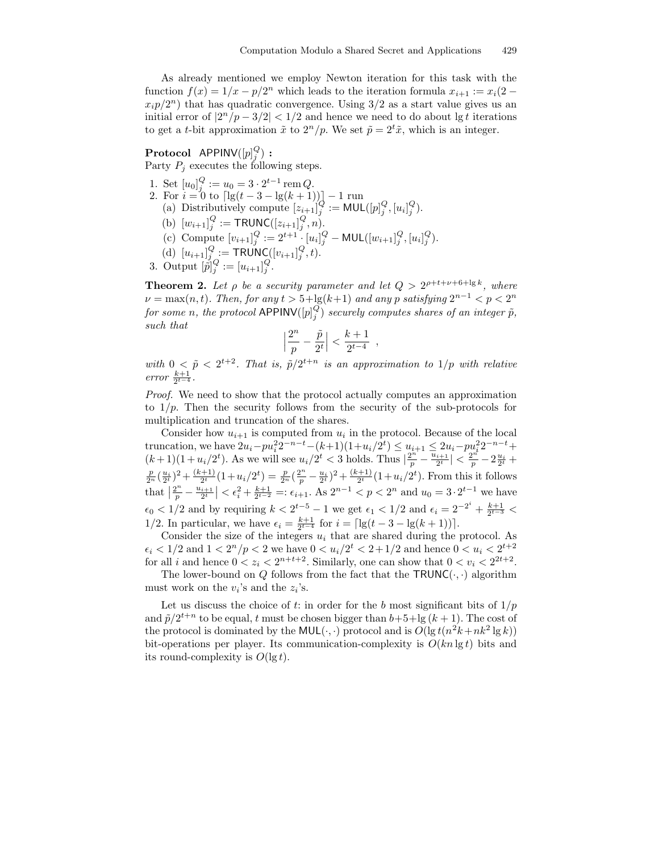As already mentioned we employ Newton iteration for this task with the function  $f(x) = 1/x - p/2^n$  which leads to the iteration formula  $x_{i+1} := x_i(2$  $x_i p/2^n$ ) that has quadratic convergence. Using  $3/2$  as a start value gives us an initial error of  $|2^n/p - 3/2| < 1/2$  and hence we need to do about lg t iterations to get a *t*-bit approximation  $\tilde{x}$  to  $2^n/p$ . We set  $\tilde{p} = 2^t \tilde{x}$ , which is an integer.

## $\mathbf{Protocol}$   $\mathsf{APPINV}([p]_j^Q)$  :

Party  $P_i$  executes the following steps.

1. Set  $[u_0]_j^Q := u_0 = 3 \cdot 2^{t-1} \text{ rem } Q.$ 2. For  $i = 0$  to  $\left[lg(t - 3 - lg(k + 1))\right] - 1$  run (a) Distributively compute  $[z_{i+1}]_j^Q := \text{MUL}([p]_j^Q, [u_i]_j^Q).$ (b)  $[w_{i+1}]_j^Q := \text{TRUNC}([z_{i+1}]_j^Q, n).$ (c) Compute  $[v_{i+1}]_j^Q := 2^{t+1} \cdot [u_i]_j^Q - \text{MUL}([w_{i+1}]_j^Q, [u_i]_j^Q).$ (d)  $[u_{i+1}]_j^Q := \text{TRUNC}([v_{i+1}]_j^Q, t).$ 

3. Output 
$$
[\tilde{p}]_j^Q := [u_{i+1}]_j^Q
$$
.

**Theorem 2.** Let  $\rho$  be a security parameter and let  $Q > 2^{\rho+t+\nu+6+\lg k}$ , where  $\nu = \max(n, t)$ . Then, for any  $t > 5 + \lg(k+1)$  and any p satisfying  $2^{n-1} < p < 2^n$ for some n, the protocol <code>APPINV</code>( $[p]_j^Q$ ) securely computes shares of an integer  $\tilde{p},$ such that

$$
\left|\frac{2^n}{p}-\frac{\tilde{p}}{2^t}\right|<\frac{k+1}{2^{t-4}}\enspace,
$$

with  $0 < \tilde{p} < 2^{t+2}$ . That is,  $\tilde{p}/2^{t+n}$  is an approximation to  $1/p$  with relative error  $\frac{k+1}{2^{t-4}}$ .

Proof. We need to show that the protocol actually computes an approximation to  $1/p$ . Then the security follows from the security of the sub-protocols for multiplication and truncation of the shares.

Consider how  $u_{i+1}$  is computed from  $u_i$  in the protocol. Because of the local truncation, we have  $2u_i - pu_i^2 2^{-n-t} - (k+1)(1+u_i/2^t) \le u_{i+1} \le 2u_i - pu_i^2 2^{-n-t} +$  $(k+1)(1+u_i/2^t)$ . As we will see  $u_i/2^t < 3$  holds. Thus  $\left|\frac{2^n}{p} - \frac{\overline{u}_{i+1}}{2^t}\right| < \frac{2^{n^t}}{p} - 2\frac{u_i}{2^t} +$  $\frac{p}{2^n}(\frac{u_i}{2^t})^2 + \frac{(k+1)}{2^t}$  $\frac{p+1}{2^t}(1+u_i/2^t) = \frac{p}{2^n}(\frac{2^n}{p}-\frac{u_i}{2^t})^2 + \frac{(k+1)^2}{2^t}$  $\frac{(i+1)}{2^t}(1+u_i/2^t)$ . From this it follows that  $\left|\frac{2^n}{p} - \frac{u_{i+1}}{2^t}\right| < \epsilon_i^2 + \frac{k+1}{2^{t-2}} =: \epsilon_{i+1}$ . As  $2^{n-1} < p < 2^n$  and  $u_0 = 3 \cdot 2^{t-1}$  we have  $\epsilon_0 < 1/2$  and by requiring  $k < 2^{t-5} - 1$  we get  $\epsilon_1 < 1/2$  and  $\epsilon_i = 2^{-2^i} + \frac{k+1}{2^{t-3}} <$ 1/2. In particular, we have  $\epsilon_i = \frac{k+1}{2^{t-4}}$  for  $i = \lceil \lg(t-3-\lg(k+1)) \rceil$ .

Consider the size of the integers  $u_i$  that are shared during the protocol. As  $\epsilon_i < 1/2$  and  $1 < 2^n/p < 2$  we have  $0 < u_i/2^t < 2 + 1/2$  and hence  $0 < u_i < 2^{t+2}$ for all i and hence  $0 < z_i < 2^{n+t+2}$ . Similarly, one can show that  $0 < v_i < 2^{2t+2}$ .

The lower-bound on Q follows from the fact that the  $TRUNC(\cdot, \cdot)$  algorithm must work on the  $v_i$ 's and the  $z_i$ 's.

Let us discuss the choice of t: in order for the b most significant bits of  $1/p$ and  $\tilde{p}/2^{t+n}$  to be equal, t must be chosen bigger than  $b+5+lg (k+1)$ . The cost of the protocol is dominated by the  $\text{MUL}(\cdot, \cdot)$  protocol and is  $O(\lg t(n^2k+nk^2\lg k))$ bit-operations per player. Its communication-complexity is  $O(kn \lg t)$  bits and its round-complexity is  $O(\lg t)$ .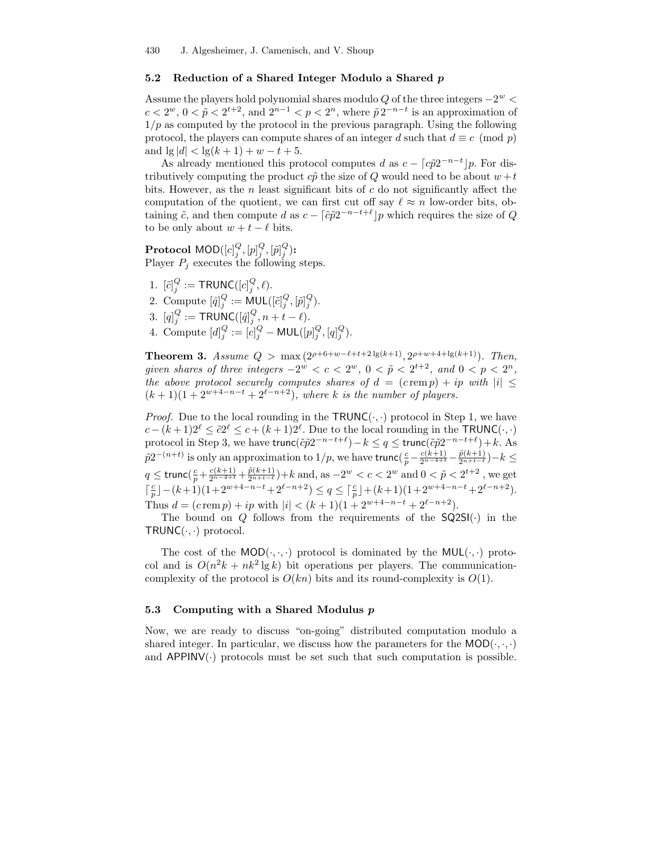#### 5.2 Reduction of a Shared Integer Modulo a Shared p

Assume the players hold polynomial shares modulo  $Q$  of the three integers  $-2^w$  <  $c < 2^w$ ,  $0 < \tilde{p} < 2^{t+2}$ , and  $2^{n-1} < p < 2^n$ , where  $\tilde{p} 2^{-n-t}$  is an approximation of  $1/p$  as computed by the protocol in the previous paragraph. Using the following protocol, the players can compute shares of an integer d such that  $d \equiv c \pmod{p}$ and  $|g|d| < |g(k + 1) + w - t + 5$ .

As already mentioned this protocol computes d as  $c - \lceil c \tilde{p} 2^{-n-t} \rceil p$ . For distributively computing the product  $c\tilde{p}$  the size of Q would need to be about  $w + t$ bits. However, as the  $n$  least significant bits of  $c$  do not significantly affect the computation of the quotient, we can first cut off say  $\ell \approx n$  low-order bits, obtaining  $\tilde{c}$ , and then compute d as  $c - \lceil \tilde{c}\tilde{p}2^{-n-t+\ell} \rfloor p$  which requires the size of Q to be only about  $w + t - \ell$  bits.

 $\textbf{Protocol MOD}([c]^{Q}_{j}, [p]^{Q}_{j}, [\tilde{p}]^{Q}_{j})$ : Player  $P_j$  executes the following steps.

- 1.  $[\tilde{c}]_j^Q := \textsf{TRUNC}([c]_j^Q, \ell).$
- 2. Compute  $[\hat{q}]_j^Q := \text{MUL}([\tilde{c}]_j^Q, [\tilde{p}]_j^Q)$ .
- 3.  $[q]_j^Q := \textsf{TRUNC}([\hat{q}]_j^Q, n+t-\ell).$
- 4. Compute  $[d]_j^Q := [c]_j^Q \text{MUL}([p]_j^Q, [q]_j^Q).$

**Theorem 3.** Assume  $Q > \max(2^{\rho+6+w-\ell+t+2\lg(k+1)}, 2^{\rho+w+4+\lg(k+1)})$ . Then, given shares of three integers  $-2^w < c < 2^w$ ,  $0 < \tilde{p} < 2^{t+2}$ , and  $0 < p < 2^n$ , the above protocol securely computes shares of  $d = (c \, \text{rem } p) + i p \, \text{ with } |i| \leq$  $(k+1)(1+2^{w+4-n-t}+2^{\ell-n+2}),$  where k is the number of players.

*Proof.* Due to the local rounding in the  $TRUNC(\cdot, \cdot)$  protocol in Step 1, we have  $c - (k+1)2^{\ell} \leq \tilde{c}2^{\ell} \leq c + (k+1)2^{\ell}$ . Due to the local rounding in the TRUNC( $\cdot, \cdot$ ) protocol in Step 3, we have trunc $(\tilde{c}\tilde{p}2^{-n-t+\ell})-k\leq q\leq$  trunc $(\tilde{c}\tilde{p}2^{-n-t+\ell})+k$ . As  $\tilde{p}2^{-(n+t)}$  is only an approximation to  $1/p$ , we have  $\mathsf{trunc}(\frac{c}{p} - \frac{c(k+1)}{2^{n-4+t}} - \frac{\tilde{p}(k+1)}{2^{n+t-\ell}}) - k \leq$  $q\leq \textsf{trunc}(\frac{c}{p}+\frac{c(k+1)}{2^{n-4+t}}+\frac{\tilde{p}(k+1)}{2^{n+t-\ell}})+k$  and, as  $-2^w < c < 2^w$  and  $0 < \tilde{p} < 2^{t+2}$  , we get  $\lceil \tfrac{c}{p} \rfloor - (k+1)(1 + 2^{w+4-n-t} + 2^{\ell-n+2}) \leq q \leq \lceil \tfrac{c}{p} \rfloor + (k+1)(1 + 2^{w+4-n-t} + 2^{\ell-n+2}).$ Thus  $d = (c \operatorname{rem} p) + ip$  with  $|i| < (k+1)(1+2^{w+4-n-t}+2^{\ell-n+2})$ .

The bound on  $Q$  follows from the requirements of the  $SQ2SI(.)$  in the  $TRUNC(\cdot, \cdot)$  protocol.

The cost of the  $MOD(\cdot,\cdot,\cdot)$  protocol is dominated by the  $MUL(\cdot,\cdot)$  protocol and is  $O(n^2k + nk^2 \lg k)$  bit operations per players. The communicationcomplexity of the protocol is  $O(kn)$  bits and its round-complexity is  $O(1)$ .

#### 5.3 Computing with a Shared Modulus  $p$

Now, we are ready to discuss "on-going" distributed computation modulo a shared integer. In particular, we discuss how the parameters for the  $MOD(\cdot, \cdot, \cdot)$ and  $APPINV(\cdot)$  protocols must be set such that such computation is possible.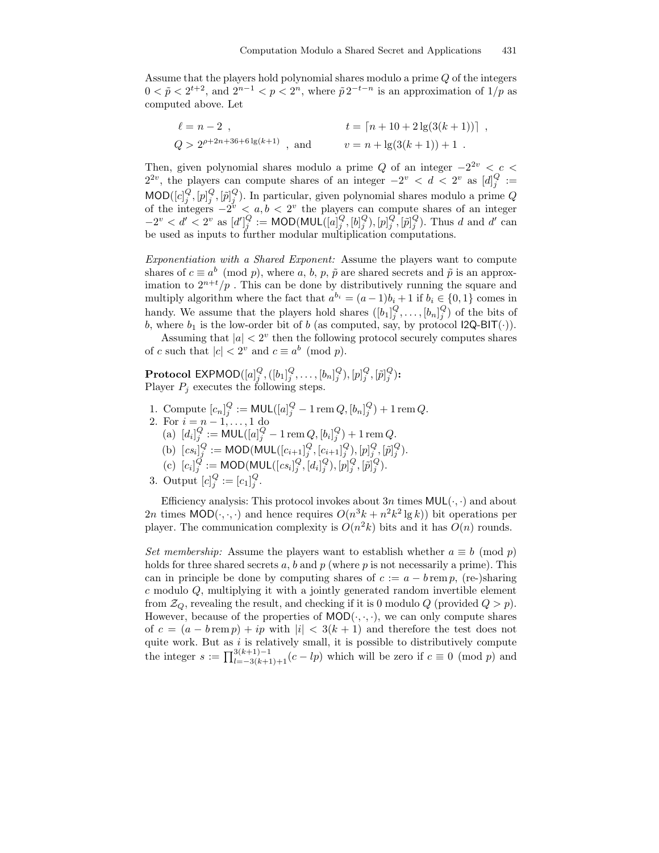Assume that the players hold polynomial shares modulo a prime Q of the integers  $0 < \tilde{p} < 2^{t+2}$ , and  $2^{n-1} < p < 2^n$ , where  $\tilde{p} 2^{-t-n}$  is an approximation of  $1/p$  as computed above. Let

$$
\ell = n - 2 , \qquad t = \lceil n + 10 + 2 \lg(3(k+1)) \rceil ,
$$
  
 
$$
Q > 2^{\rho + 2n + 36 + 6 \lg(k+1)} , \text{ and } \qquad v = n + \lg(3(k+1)) + 1 .
$$

Then, given polynomial shares modulo a prime Q of an integer  $-2^{2v} < c <$  $2^{2v}$ , the players can compute shares of an integer  $-2^v$  <  $d \lt 2^v$  as  $[d]_j^Q :=$  $\text{MOD}([c]_j^Q,[p]_j^Q,[\tilde{p}]_j^Q)$ . In particular, given polynomial shares modulo a prime Q of the integers  $-2^v < a, b < 2^v$  the players can compute shares of an integer  $-2^v < d' < 2^v$  as  $[d']_j^Q := \text{MOD}(\text{MUL}([a]_j^Q, [b]_j^Q), [p]_j^Q, [\tilde{p}]_j^Q)$ . Thus d and d' can be used as inputs to further modular multiplication computations.

Exponentiation with a Shared Exponent: Assume the players want to compute shares of  $c \equiv a^b \pmod{p}$ , where a, b, p,  $\tilde{p}$  are shared secrets and  $\tilde{p}$  is an approximation to  $2^{n+t}/p$ . This can be done by distributively running the square and multiply algorithm where the fact that  $a^{b_i} = (a-1)b_i + 1$  if  $b_i \in \{0,1\}$  comes in handy. We assume that the players hold shares  $([b_1]_j^Q, \ldots, [b_n]_j^Q)$  of the bits of b, where  $b_1$  is the low-order bit of b (as computed, say, by protocol I2Q-BIT( $\cdot$ )).

Assuming that  $|a| < 2^v$  then the following protocol securely computes shares of c such that  $|c| < 2^v$  and  $c \equiv a^b \pmod{p}$ .

 $\textbf{Protocol EXPMOD}([a]_{j}^{Q},([b_1]_{j}^{Q},\ldots,[b_n]_{j}^{Q}),[p]_{j}^{Q},[\widetilde{p}]_{j}^{Q})$ : Player  $P_j$  executes the following steps.

- 1. Compute  $[c_n]_j^Q := \text{MUL}([a]_j^Q 1 \,\text{rem } Q, [b_n]_j^Q) + 1 \,\text{rem } Q.$
- 2. For  $i = n 1, ..., 1$  do
	- (a)  $[d_i]_j^Q := \text{MUL}([a]_j^Q 1 \,\text{rem } Q, [b_i]_j^Q) + 1 \,\text{rem } Q.$
	- (b)  $[c s_i]_j^Q := \text{MOD}(\text{MUL}([c_{i+1}]_j^Q, [c_{i+1}]_j^Q), [p]_j^Q, [\tilde{p}]_j^Q).$
	- (c)  $[c_i]_j^Q := \text{MOD}(\text{MUL}([cs_i]_j^Q, [d_i]_j^Q), [p]_j^Q, [\tilde{p}]_j^Q).$

3. Output 
$$
[c]_j^Q := [c_1]_j^Q
$$
.

Efficiency analysis: This protocol invokes about  $3n$  times  $MUL(\cdot, \cdot)$  and about 2n times  $\text{MOD}(\cdot, \cdot, \cdot)$  and hence requires  $O(n^3k + n^2k^2 \lg k)$  bit operations per player. The communication complexity is  $O(n^2k)$  bits and it has  $O(n)$  rounds.

Set membership: Assume the players want to establish whether  $a \equiv b \pmod{p}$ holds for three shared secrets a, b and p (where  $p$  is not necessarily a prime). This can in principle be done by computing shares of  $c := a - b$  rem p, (re-)sharing  $c$  modulo  $Q$ , multiplying it with a jointly generated random invertible element from  $\mathcal{Z}_Q$ , revealing the result, and checking if it is 0 modulo Q (provided  $Q > p$ ). However, because of the properties of  $MOD(\cdot, \cdot, \cdot)$ , we can only compute shares of  $c = (a - b \text{ rem } p) + i p$  with  $|i| < 3(k + 1)$  and therefore the test does not quite work. But as  $i$  is relatively small, it is possible to distributively compute the integer  $s := \prod_{l=-3(k+1)+1}^{3(k+1)-1} (c - lp)$  which will be zero if  $c \equiv 0 \pmod{p}$  and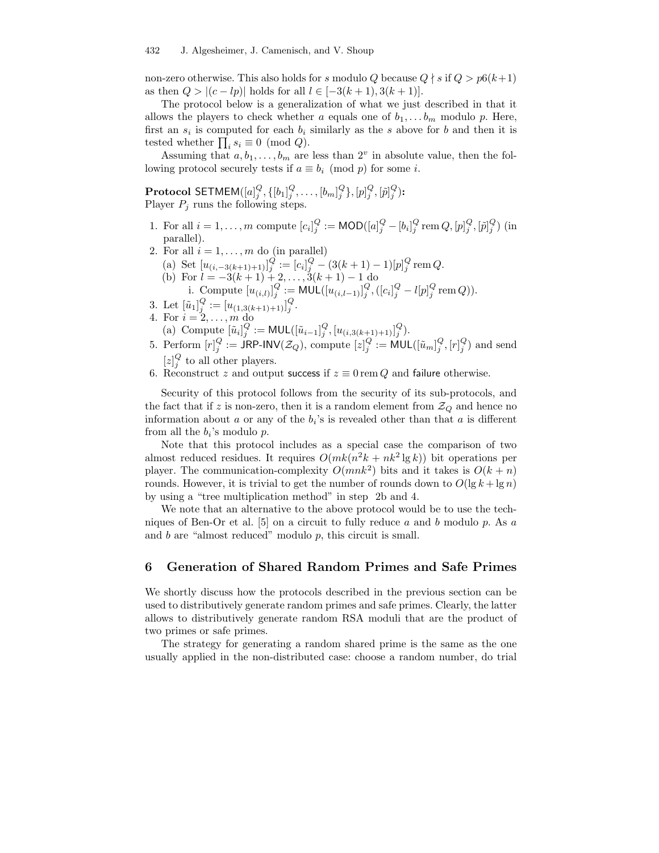non-zero otherwise. This also holds for s modulo Q because  $Q \nmid s$  if  $Q > p6(k+1)$ as then  $Q > |(c - lp)|$  holds for all  $l \in [-3(k + 1), 3(k + 1)].$ 

The protocol below is a generalization of what we just described in that it allows the players to check whether a equals one of  $b_1, \ldots b_m$  modulo p. Here, first an  $s_i$  is computed for each  $b_i$  similarly as the s above for b and then it is tested whether  $\prod_i s_i \equiv 0 \pmod{Q}$ .

Assuming that  $a, b_1, \ldots, b_m$  are less than  $2^v$  in absolute value, then the following protocol securely tests if  $a \equiv b_i \pmod{p}$  for some *i*.

 ${\bf Protocol \; SETMEM}([a]^\textit{Q}_j, \{[b_1]^\textit{Q}_j, \ldots, [b_m]^\textit{Q}_j\}, [p]^\textit{Q}_j, [\tilde{p}]^\textit{Q}_j)$ : Player  $P_j$  runs the following steps.

- 1. For all  $i = 1, \ldots, m$  compute  $[c_i]_j^Q := \text{MOD}([a]_j^Q [b_i]_j^Q \text{ rem } Q, [p]_j^Q, [\tilde{p}]_j^Q)$  (in parallel).
- 2. For all  $i = 1, \ldots, m$  do (in parallel)
	- (a) Set  $[u_{(i,-3(k+1)+1)}]_j^Q := [c_i]_j^Q (3(k+1)-1)[p]_j^Q$  rem Q.
	- (b) For  $l = -3(k+1) + 2, ..., 3(k+1) 1$  do<br>  $\vdots$  Compute  $\begin{bmatrix} 0 & 1 \end{bmatrix}$   $\vdots$  MIII  $\begin{bmatrix} 0 & 1 \end{bmatrix}$   $\begin{bmatrix} 0 & 1 \end{bmatrix}$   $\begin{bmatrix} 0 & 1 \end{bmatrix}$

i. Compute 
$$
[u_{(i,l)}]_j^Q := \text{MUL}([u_{(i,l-1)}]_j^Q, ([c_i]_j^Q - l[p]_j^Q \text{ rem } Q)).
$$

- 3. Let  $[\tilde{u}_1]_j^Q := [u_{(1,3(k+1)+1)}]_j^Q$ .
- 4. For  $i = 2, ..., m$  do (a) Compute  $[\tilde{u}_i]_j^Q := \text{MUL}([\tilde{u}_{i-1}]_j^Q, [u_{(i,3(k+1)+1)}]_j^Q).$
- 5. Perform  $[r]_j^Q := \text{JRP-INV}(\mathcal{Z}_Q)$ , compute  $[z]_j^Q := \text{MUL}([\tilde{u}_m]_j^Q, [r]_j^Q)$  and send  $[z]_j^{\mathcal{Q}}$  to all other players. Q
- 6. Reconstruct z and output success if  $z \equiv 0 \text{ rem } Q$  and failure otherwise.

Security of this protocol follows from the security of its sub-protocols, and the fact that if z is non-zero, then it is a random element from  $\mathcal{Z}_Q$  and hence no information about  $a$  or any of the  $b_i$ 's is revealed other than that  $a$  is different from all the  $b_i$ 's modulo  $p$ .

Note that this protocol includes as a special case the comparison of two almost reduced residues. It requires  $O(mk(n^2k + nk^2\lg k))$  bit operations per player. The communication-complexity  $O(mnk^2)$  bits and it takes is  $O(k+n)$ rounds. However, it is trivial to get the number of rounds down to  $O(\lg k + \lg n)$ by using a "tree multiplication method" in step 2b and 4.

We note that an alternative to the above protocol would be to use the techniques of Ben-Or et al. [5] on a circuit to fully reduce a and b modulo p. As a and  $b$  are "almost reduced" modulo  $p$ , this circuit is small.

## 6 Generation of Shared Random Primes and Safe Primes

We shortly discuss how the protocols described in the previous section can be used to distributively generate random primes and safe primes. Clearly, the latter allows to distributively generate random RSA moduli that are the product of two primes or safe primes.

The strategy for generating a random shared prime is the same as the one usually applied in the non-distributed case: choose a random number, do trial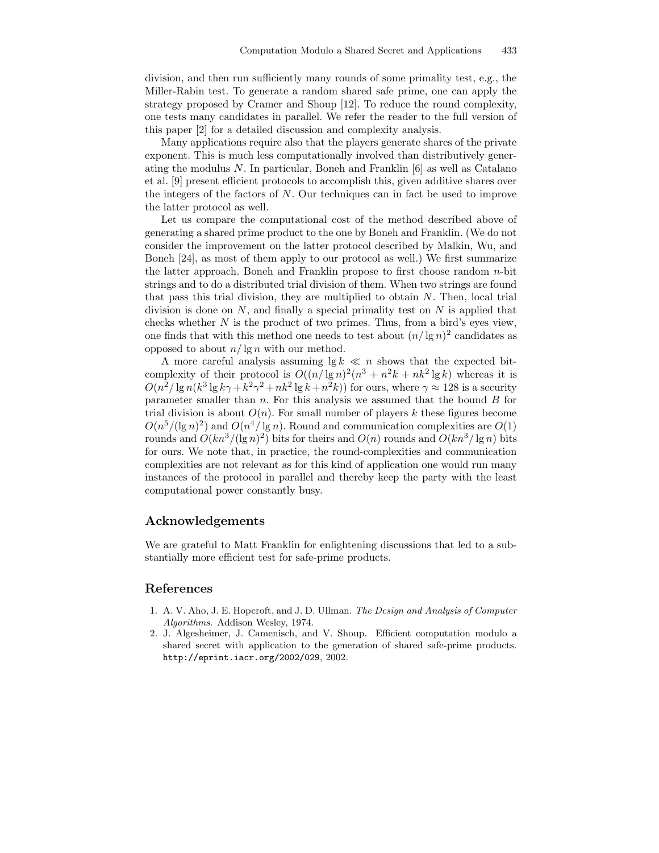division, and then run sufficiently many rounds of some primality test, e.g., the Miller-Rabin test. To generate a random shared safe prime, one can apply the strategy proposed by Cramer and Shoup [12]. To reduce the round complexity, one tests many candidates in parallel. We refer the reader to the full version of this paper [2] for a detailed discussion and complexity analysis.

Many applications require also that the players generate shares of the private exponent. This is much less computationally involved than distributively generating the modulus  $N$ . In particular, Boneh and Franklin  $[6]$  as well as Catalano et al. [9] present efficient protocols to accomplish this, given additive shares over the integers of the factors of N. Our techniques can in fact be used to improve the latter protocol as well.

Let us compare the computational cost of the method described above of generating a shared prime product to the one by Boneh and Franklin. (We do not consider the improvement on the latter protocol described by Malkin, Wu, and Boneh [24], as most of them apply to our protocol as well.) We first summarize the latter approach. Boneh and Franklin propose to first choose random  $n$ -bit strings and to do a distributed trial division of them. When two strings are found that pass this trial division, they are multiplied to obtain  $N$ . Then, local trial division is done on  $N$ , and finally a special primality test on  $N$  is applied that checks whether  $N$  is the product of two primes. Thus, from a bird's eyes view, one finds that with this method one needs to test about  $(n/\lg n)^2$  candidates as opposed to about  $n/\lg n$  with our method.

A more careful analysis assuming  $\lg k \ll n$  shows that the expected bitcomplexity of their protocol is  $O((n/\lg n)^2(n^3 + n^2k + nk^2 \lg k)$  whereas it is  $O(n^2/\lg n(k^3\lg k\gamma + k^2\gamma^2 + nk^2\lg k + n^2k))$  for ours, where  $\gamma \approx 128$  is a security parameter smaller than  $n$ . For this analysis we assumed that the bound  $B$  for trial division is about  $O(n)$ . For small number of players k these figures become  $O(n^5/(\lg n)^2)$  and  $O(n^4/\lg n)$ . Round and communication complexities are  $O(1)$ rounds and  $O(kn^3/(\lg n)^2)$  bits for theirs and  $O(n)$  rounds and  $O(kn^3/\lg n)$  bits for ours. We note that, in practice, the round-complexities and communication complexities are not relevant as for this kind of application one would run many instances of the protocol in parallel and thereby keep the party with the least computational power constantly busy.

## Acknowledgements

We are grateful to Matt Franklin for enlightening discussions that led to a substantially more efficient test for safe-prime products.

### References

- 1. A. V. Aho, J. E. Hopcroft, and J. D. Ullman. The Design and Analysis of Computer Algorithms. Addison Wesley, 1974.
- 2. J. Algesheimer, J. Camenisch, and V. Shoup. Efficient computation modulo a shared secret with application to the generation of shared safe-prime products. http://eprint.iacr.org/2002/029, 2002.